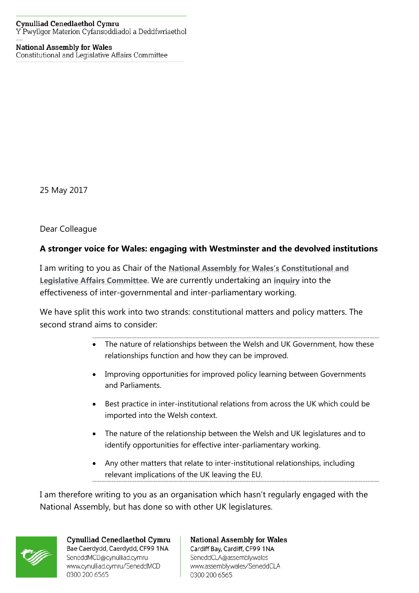## **Cynulliad Cenedlaethol Cymru** Y Pwyllgor Materion Cyfansoddiadol a Deddfwriaethol

## **National Assembly for Wales** Constitutional and Legislative Affairs Committee

25 May 2017

Dear Colleague

## **A stronger voice for Wales: engaging with Westminster and the devolved institutions**

I am writing to you as Chair of the **[National Assembly for Wales's](http://www.assembly.wales/en/Pages/Home.aspx) [Constitutional and](http://www.assembly.wales/en/bus-home/committees/Pages/Committee-Profile.aspx?cid=434)  [Legislative Affairs Committee](http://www.assembly.wales/en/bus-home/committees/Pages/Committee-Profile.aspx?cid=434)**. We are currently undertaking an **[inquiry](http://senedd.assembly.wales/mgIssueHistoryHome.aspx?IId=16613)** into the effectiveness of inter-governmental and inter-parliamentary working.

We have split this work into two strands: constitutional matters and policy matters. The second strand aims to consider:

- The nature of relationships between the Welsh and UK Government, how these relationships function and how they can be improved.
- Improving opportunities for improved policy learning between Governments and Parliaments.
- Best practice in inter-institutional relations from across the UK which could be imported into the Welsh context.
- The nature of the relationship between the Welsh and UK legislatures and to identify opportunities for effective inter-parliamentary working.
- Any other matters that relate to inter-institutional relationships, including relevant implications of the UK leaving the EU.

I am therefore writing to you as an organisation which hasn't regularly engaged with the National Assembly, but has done so with other UK legislatures.



Cynulliad Cenedlaethol Cymru Bae Caerdydd, Caerdydd, CF99 1NA SeneddMCD@cynulliad.cymru www.cynulliad.cymru/SeneddMCD 0300 200 6565

**National Assembly for Wales** Cardiff Bay, Cardiff, CF99 1NA SeneddCLA@assembly.wales www.assembly.wales/SeneddCLA 0300 200 6565